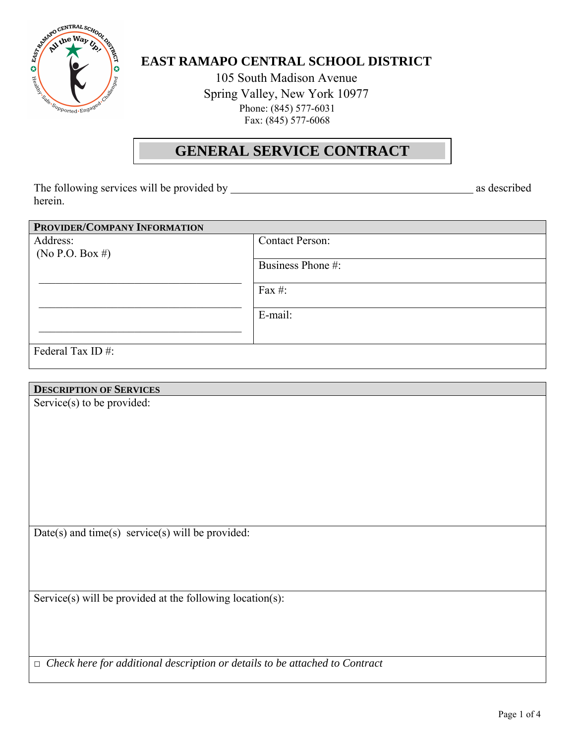

# **EAST RAMAPO CENTRAL SCHOOL DISTRICT**

105 South Madison Avenue Spring Valley, New York 10977 Phone: (845) 577-6031 Fax: (845) 577-6068

# **GENERAL SERVICE CONTRACT**

The following services will be provided by as described herein.

| PROVIDER/COMPANY INFORMATION |                        |
|------------------------------|------------------------|
| Address:                     | <b>Contact Person:</b> |
| (No P.O. Box #)              |                        |
|                              | Business Phone #:      |
|                              | Fax #:                 |
|                              |                        |
|                              | E-mail:                |
|                              |                        |
|                              |                        |
| Federal Tax ID#:             |                        |
|                              |                        |

# **DESCRIPTION OF SERVICES**

Service(s) to be provided:

Date(s) and time(s) service(s) will be provided:

Service(s) will be provided at the following location(s):

□ *Check here for additional description or details to be attached to Contract*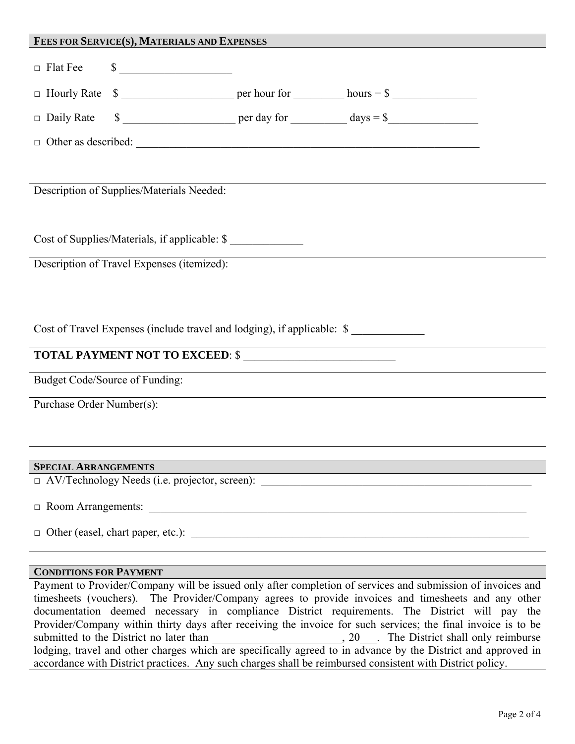| FEES FOR SERVICE(S), MATERIALS AND EXPENSES                             |        |  |                                                                                                                                                                                                                                                                                                                                                                                                   |  |  |
|-------------------------------------------------------------------------|--------|--|---------------------------------------------------------------------------------------------------------------------------------------------------------------------------------------------------------------------------------------------------------------------------------------------------------------------------------------------------------------------------------------------------|--|--|
| $\Box$ Flat Fee                                                         | $\sim$ |  |                                                                                                                                                                                                                                                                                                                                                                                                   |  |  |
|                                                                         |        |  |                                                                                                                                                                                                                                                                                                                                                                                                   |  |  |
|                                                                         |        |  | $\Box$ Daily Rate $\qquad \qquad$ $\qquad \qquad$ $\qquad \qquad$ $\qquad \qquad$ $\qquad \qquad$ $\qquad \qquad$ $\qquad \qquad$ $\qquad \qquad$ $\qquad \qquad$ $\qquad \qquad$ $\qquad \qquad$ $\qquad \qquad$ $\qquad \qquad$ $\qquad \qquad$ $\qquad \qquad$ $\qquad \qquad$ $\qquad \qquad$ $\qquad \qquad$ $\qquad \qquad$ $\qquad \qquad$ $\qquad \qquad$ $\qquad \qquad$ $\qquad \qquad$ |  |  |
|                                                                         |        |  |                                                                                                                                                                                                                                                                                                                                                                                                   |  |  |
|                                                                         |        |  |                                                                                                                                                                                                                                                                                                                                                                                                   |  |  |
| Description of Supplies/Materials Needed:                               |        |  |                                                                                                                                                                                                                                                                                                                                                                                                   |  |  |
|                                                                         |        |  |                                                                                                                                                                                                                                                                                                                                                                                                   |  |  |
| Cost of Supplies/Materials, if applicable: \$                           |        |  |                                                                                                                                                                                                                                                                                                                                                                                                   |  |  |
| Description of Travel Expenses (itemized):                              |        |  |                                                                                                                                                                                                                                                                                                                                                                                                   |  |  |
|                                                                         |        |  |                                                                                                                                                                                                                                                                                                                                                                                                   |  |  |
|                                                                         |        |  |                                                                                                                                                                                                                                                                                                                                                                                                   |  |  |
| Cost of Travel Expenses (include travel and lodging), if applicable: \$ |        |  |                                                                                                                                                                                                                                                                                                                                                                                                   |  |  |
| <b>TOTAL PAYMENT NOT TO EXCEED: \$</b>                                  |        |  |                                                                                                                                                                                                                                                                                                                                                                                                   |  |  |
| <b>Budget Code/Source of Funding:</b>                                   |        |  |                                                                                                                                                                                                                                                                                                                                                                                                   |  |  |
| Purchase Order Number(s):                                               |        |  |                                                                                                                                                                                                                                                                                                                                                                                                   |  |  |
|                                                                         |        |  |                                                                                                                                                                                                                                                                                                                                                                                                   |  |  |
|                                                                         |        |  |                                                                                                                                                                                                                                                                                                                                                                                                   |  |  |
| <b>SPECIAL ARRANGEMENTS</b>                                             |        |  |                                                                                                                                                                                                                                                                                                                                                                                                   |  |  |

 $\Box$  AV/Technology Needs (i.e. projector, screen):

 $\Box$  Room Arrangements:

 $\Box$  Other (easel, chart paper, etc.):  $\Box$ 

#### **CONDITIONS FOR PAYMENT**

Payment to Provider/Company will be issued only after completion of services and submission of invoices and timesheets (vouchers). The Provider/Company agrees to provide invoices and timesheets and any other documentation deemed necessary in compliance District requirements. The District will pay the Provider/Company within thirty days after receiving the invoice for such services; the final invoice is to be submitted to the District no later than  $\qquad \qquad , 20$ . The District shall only reimburse lodging, travel and other charges which are specifically agreed to in advance by the District and approved in accordance with District practices. Any such charges shall be reimbursed consistent with District policy.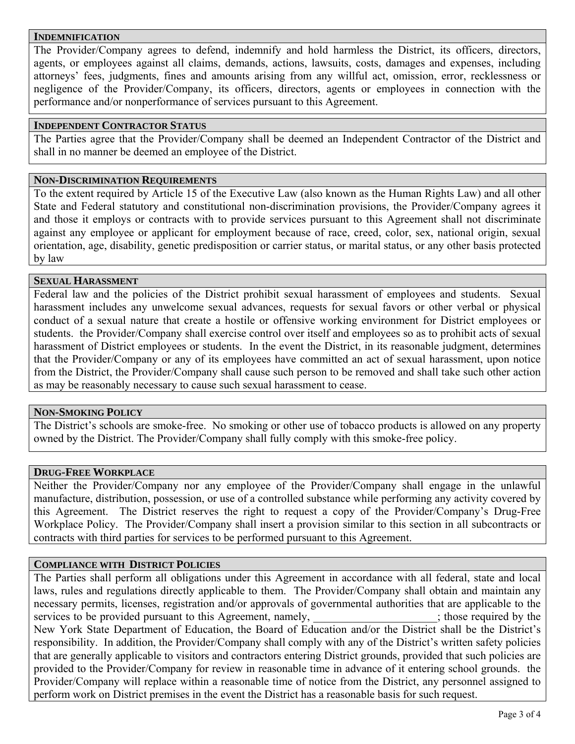#### **INDEMNIFICATION**

The Provider/Company agrees to defend, indemnify and hold harmless the District, its officers, directors, agents, or employees against all claims, demands, actions, lawsuits, costs, damages and expenses, including attorneys' fees, judgments, fines and amounts arising from any willful act, omission, error, recklessness or negligence of the Provider/Company, its officers, directors, agents or employees in connection with the performance and/or nonperformance of services pursuant to this Agreement.

#### **INDEPENDENT CONTRACTOR STATUS**

The Parties agree that the Provider/Company shall be deemed an Independent Contractor of the District and shall in no manner be deemed an employee of the District.

#### **NON-DISCRIMINATION REQUIREMENTS**

To the extent required by Article 15 of the Executive Law (also known as the Human Rights Law) and all other State and Federal statutory and constitutional non-discrimination provisions, the Provider/Company agrees it and those it employs or contracts with to provide services pursuant to this Agreement shall not discriminate against any employee or applicant for employment because of race, creed, color, sex, national origin, sexual orientation, age, disability, genetic predisposition or carrier status, or marital status, or any other basis protected by law

#### **SEXUAL HARASSMENT**

Federal law and the policies of the District prohibit sexual harassment of employees and students. Sexual harassment includes any unwelcome sexual advances, requests for sexual favors or other verbal or physical conduct of a sexual nature that create a hostile or offensive working environment for District employees or students. the Provider/Company shall exercise control over itself and employees so as to prohibit acts of sexual harassment of District employees or students. In the event the District, in its reasonable judgment, determines that the Provider/Company or any of its employees have committed an act of sexual harassment, upon notice from the District, the Provider/Company shall cause such person to be removed and shall take such other action as may be reasonably necessary to cause such sexual harassment to cease.

#### **NON-SMOKING POLICY**

The District's schools are smoke-free. No smoking or other use of tobacco products is allowed on any property owned by the District. The Provider/Company shall fully comply with this smoke-free policy.

# **DRUG-FREE WORKPLACE**

Neither the Provider/Company nor any employee of the Provider/Company shall engage in the unlawful manufacture, distribution, possession, or use of a controlled substance while performing any activity covered by this Agreement. The District reserves the right to request a copy of the Provider/Company's Drug-Free Workplace Policy. The Provider/Company shall insert a provision similar to this section in all subcontracts or contracts with third parties for services to be performed pursuant to this Agreement.

#### **COMPLIANCE WITH DISTRICT POLICIES**

The Parties shall perform all obligations under this Agreement in accordance with all federal, state and local laws, rules and regulations directly applicable to them. The Provider/Company shall obtain and maintain any necessary permits, licenses, registration and/or approvals of governmental authorities that are applicable to the services to be provided pursuant to this Agreement, namely, those required by the services to be provided pursuant to this Agreement, namely, New York State Department of Education, the Board of Education and/or the District shall be the District's responsibility. In addition, the Provider/Company shall comply with any of the District's written safety policies that are generally applicable to visitors and contractors entering District grounds, provided that such policies are provided to the Provider/Company for review in reasonable time in advance of it entering school grounds. the Provider/Company will replace within a reasonable time of notice from the District, any personnel assigned to perform work on District premises in the event the District has a reasonable basis for such request.